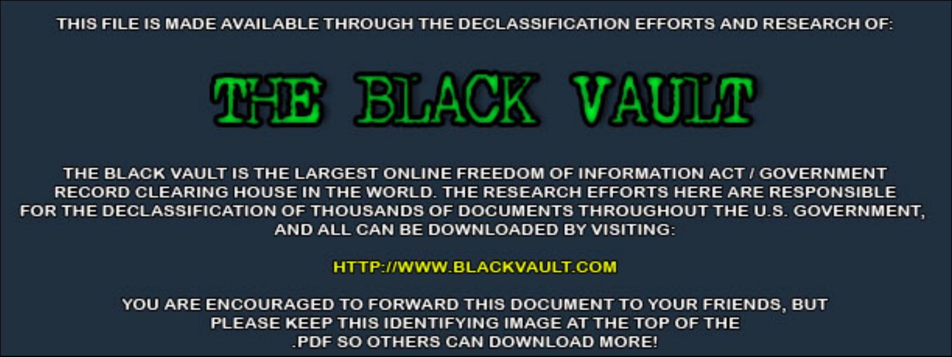THIS FILE IS MADE AVAILABLE THROUGH THE DECLASSIFICATION EFFORTS AND RESEARCH OF:



THE BLACK VAULT IS THE LARGEST ONLINE FREEDOM OF INFORMATION ACT / GOVERNMENT RECORD CLEARING HOUSE IN THE WORLD. THE RESEARCH EFFORTS HERE ARE RESPONSIBLE FOR THE DECLASSIFICATION OF THOUSANDS OF DOCUMENTS THROUGHOUT THE U.S. GOVERNMENT, AND ALL CAN BE DOWNLOADED BY VISITING:

**HTTP://WWW.BLACKVAULT.COM** 

YOU ARE ENCOURAGED TO FORWARD THIS DOCUMENT TO YOUR FRIENDS, BUT PLEASE KEEP THIS IDENTIFYING IMAGE AT THE TOP OF THE PDF SO OTHERS CAN DOWNLOAD MORE!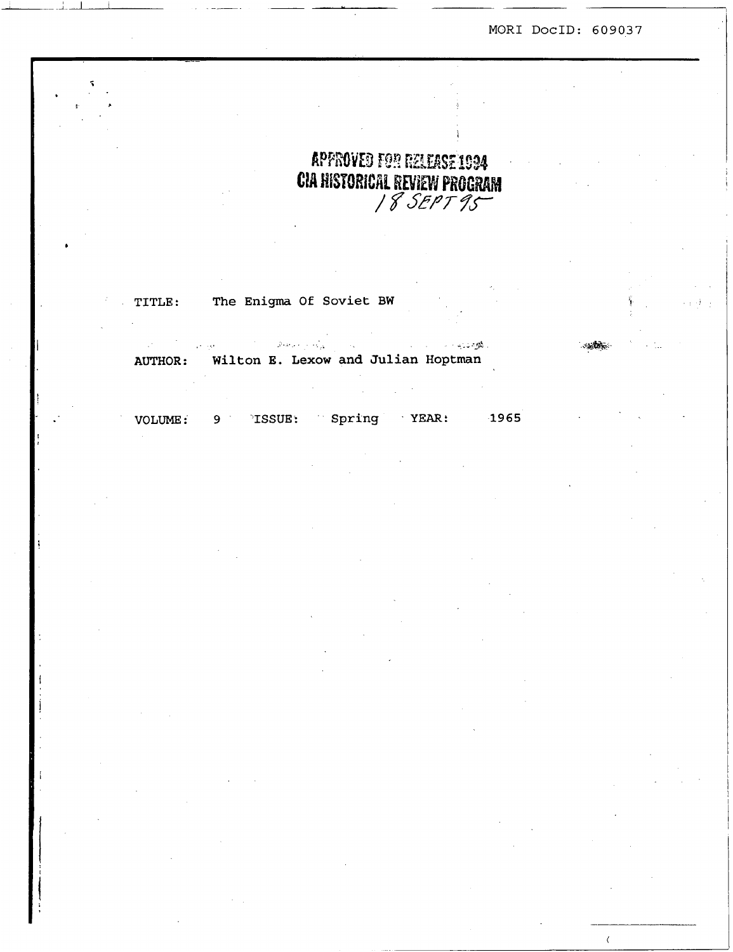MOR1 DocID: 609037

**i** 

 $\langle$ 

# APPROVED FOR RELEASE 1994 CIA HISTORICAL REVIEW PROGRAM<br>/ 8 SEPT 95

**TITLE** : **The Enigma Of Soviet BW** 

**f** 

.. " . - *-5:*   $\Delta \mathcal{E} = 0.5$  . AUTHOR: **Wilton E. Lexow and Julian Hoptman** 

**VOLUME: 9 ISSUE** : **Spring YEAR: 1965**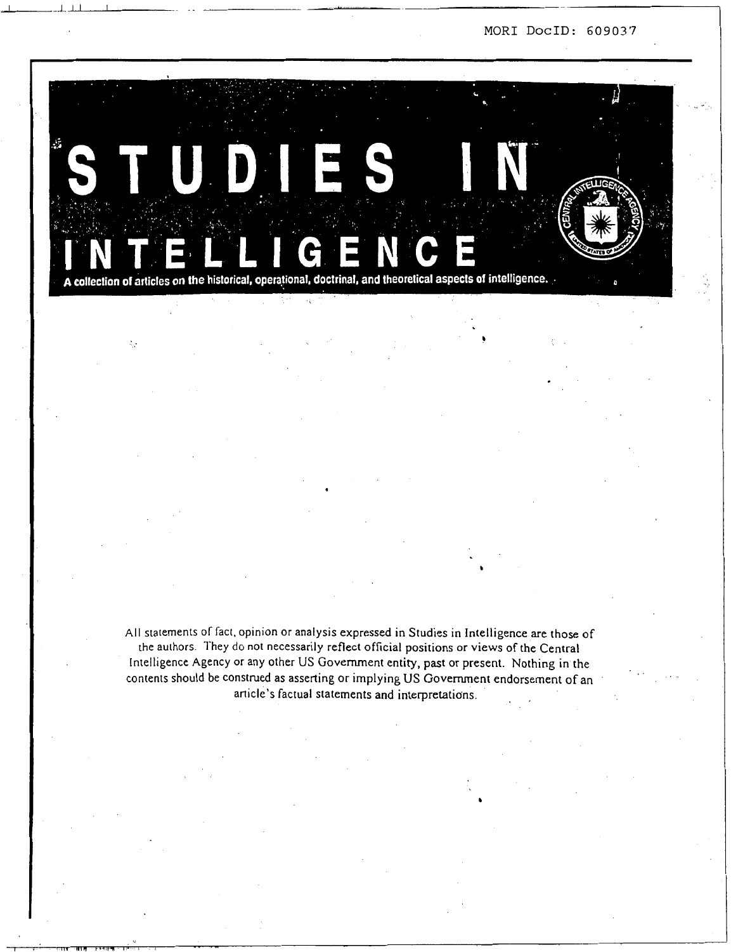**MOR1 DocID:** *609037* 



ò.

**AII** statements of fact. opinion or analysis expressed in Studies in Intelligence are those of the authors. They do not necessarily reflect official positions or views of the Central Intelligence Agency or any other US Government entity, past or present. Nothing in the contents should be construed as asserting or implying US Government endorsement of an article's factual statements and interpretations.

**b**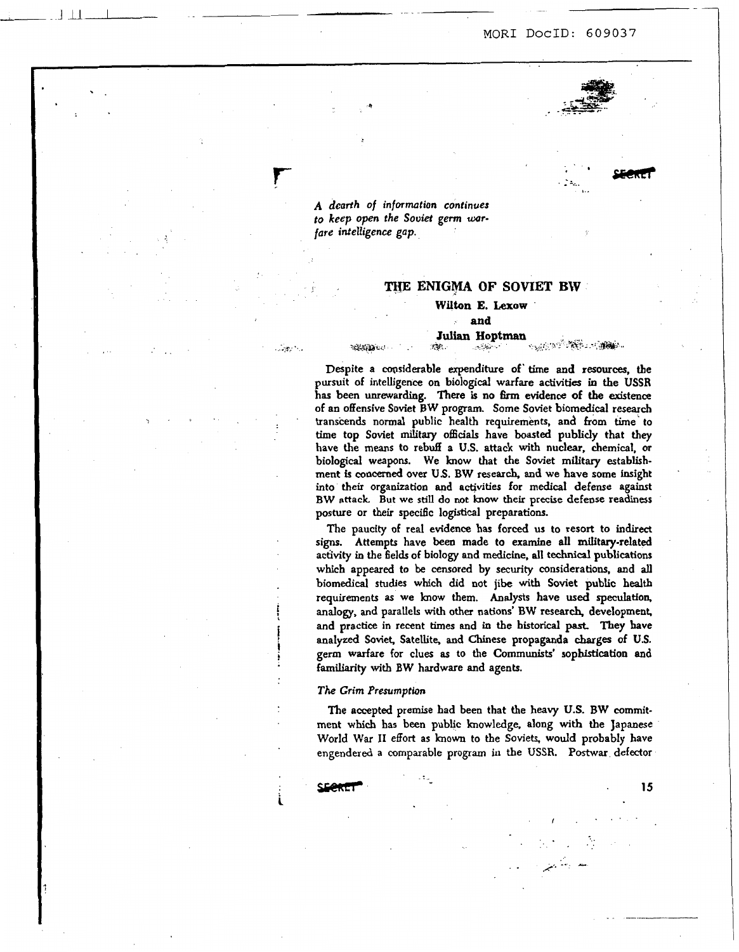

. . .L \_.. ..

file **SECRET** 

 $\overline{a}$ 

**A** *dcurlh of* **informution continues to** *keep* **open the** *Soviet germ* **wrfure intelligence** *gap.* 

**4** 

**t. 1945/2010** 

**r** 

 $\sim 10^{10}$  .

-.JilL -

### **THE ENIGMA OF SOMET BW**

## **Wilton E. Laow**

## **and**

#### Julian Hoptman **ARASHA ANG ARA VER** وتتوافقات

Despite a considerable expenditure of time and resources, the pursuit of intelligence on biological warfare activities in the **USSR has** been unrewarding. **There** is **no** 6rm evidence **of** the! existence of an offensive Soviet **BW** program. Some Soviet biomedical research transcends normal public health requirements, and from **time'to**  time top Soviet **military officials** have boasted publicly that they have the **means** to rebuff a **U.S.** attack with nuclear, chemical, **or**  biological weapons. We know that the Soviet military establishment **is concaned** over **U.S. BW** research, and we have some insight into their organization and activities for **medical** defense against **BW attack.** But we **still** do **not know** their precise defense readiness posture or their specific logistical preparations.

The paucity of real evidence **has** forced us to resort to indirect signs. Attempts have been made to examine all military-related activity in the fields of biology and medicine, **all** technical publications which appeared **to** be censored by security considerations, and **all**  biomedical **studies** which did not jibe with Soviet public **health**  requirements **as** we know them. Analysts have **used speculation,**  analogy, **and** parallels with other nations' BW research, development and practice in recent *times* **and** in the historical **past** They **have**  analyzed **Soviet,** Satellite, **and** Chinese propaganda **charges** of **U.S.**  germ warfare for clues **as** to the **Communists'** sophistication and familiarity with BW hardware and agents.

### *The* **Grim Premmption**

**The** accepted premise had been that the **heavy U.S. BW** comrnitment which **has** been public knowledge, along with the Japanese World **War I1** effort **as known** to the Soviets, **would** probably have engendered a comparable **program** in the **USSR. Postwar** defector

*I:* 

.. .. .. \* . .\_ *i.* --: -

 $\mathbf{L}^{(1)}$ 

sure **15 15 15** 

**i**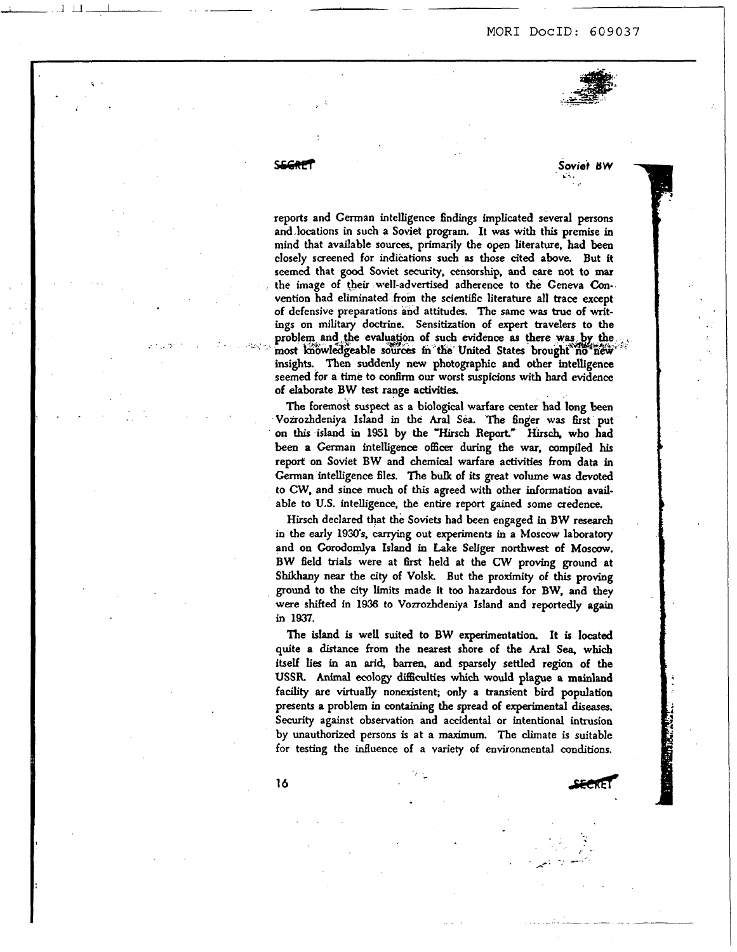### MORI DocID: 609037



**i'** 

 $5$  *oviet*  $BW$ 

' ..

reports and Cerman intelligence **findings** implicated several **persons**  and locations in such a Soviet program. It was with this premise in mind that available **sources,** primarily the open literature, had **been**  closely screened for indihtions such **as those** cited above. But it **seemed** that **good** Soviet **security,** censorship, and care not to mar the image of their well-advertised adherence to the Geneva Convention had eliminated **from** the scientific literature all trace except of defensive preparations and attitudes. The same **was** true of writ**ings** on military doctrine. Sensitization of **expert** travelers to the problem and the evaluation of such evidence as there was by the most knowledgeable sources in the United States brought no new bights. **Then** suddenly **new** photographic and **otber** intelligence seemed for a time **to confirm our** worst suspicions with hard evidence of elaborate **BW** test range **activities.** 

**The** foremok **suspect** as a biological warfare center bad long **been**  Vonozhdeniya Island in the **Aral** *Sea.* **The** finger **was** first put on **this** island in **1951 by the** 'Hirsch **Report" Hirsch,** wbo had been a German intelligence **officer** during the war, compiled **his**  report on Soviet BW and chemical warfare activities **from data** in German intelligence files. The bulk of its great volume was devoted to CW, and since much of this agreed with **othex** information available to **U.S.** intelligence, the entire report gained some credence.

Hirsch declared that the Soviets had been engaged in **BW research**  in the early 1930's, carrying out experiments in a Moscow laboratory and **on** Corodomlya Island in Lake Seliger northwest of **Moscow. BW** field trials were at 6rst held at the *CW* proving ground at Shikhany near the **city** of **Volsk.** But the proximity of **this** proving ground to the **city** limits made it too hazardous for **BW,** and they were **shifted** in **1936** to Vozrozhdeniya Island **and** reportedly again in **1937.** 

**The** island is well suited to BW experimentation. It **is** located quite **a distance from** the **nearest** shore of the ha1 **Sea,** which itself lies in an **arid,** barren, and sparsely settled region of **tbe USSR Animal** ecology **difficulties which** would plague a **mainland**  facility are virtually nonexistent; only a transient bird population presents a problem in **containing the** spread of experimental diseases. Security against observation and accidental or intentional intrusion<br>by unauthorized persons is at a maximum. The climate is suitable<br>for testing the influence of a variety of environmental conditions.<br>16 by unauthorized persons is at **a maximum.** *The* climate is suitable for testing the influence of a variety of environmental conditions.

 $\mathcal{L} = \frac{1}{2}$ , . . . - . . . *+e.* .

**16**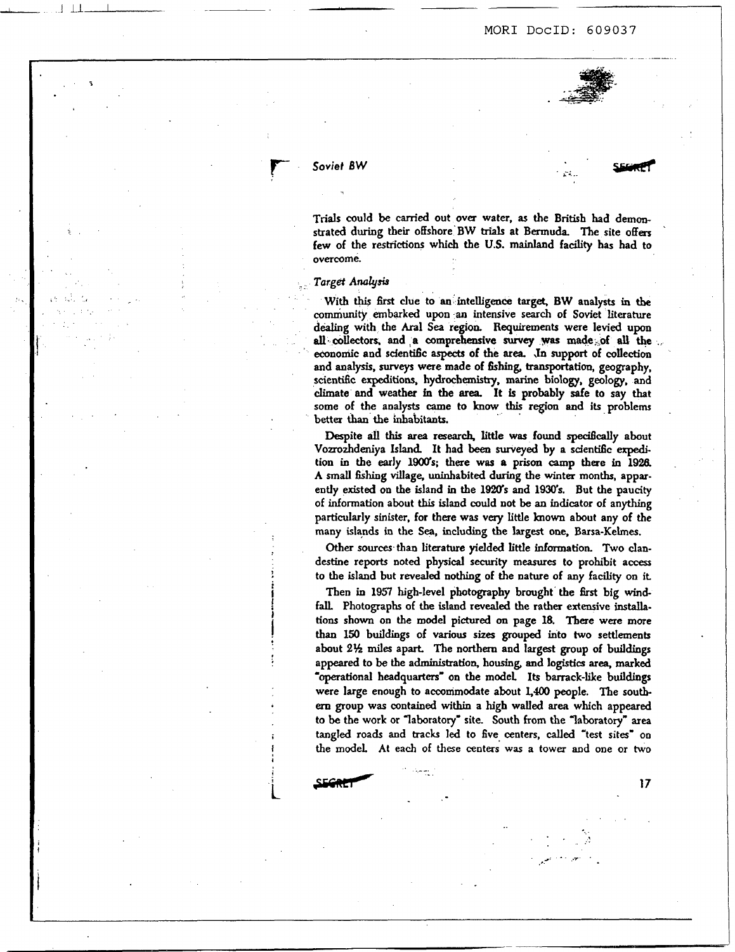

# r- *Soviet BW*

<sup>1</sup>1.lL

**17** 

**Trials** could **be** carried out ova water, **as** the **British** had demm skated during their offshore **BW trials** at **Bermuda.** The site **ofas**  few of the restrictions which the **U.S.** mainland facility has had to overcome.

### **Target Analysis**

 $\mathbf{L}$ 

With **this first** clue to **an** intelligence target, **BW** analysts in **tbe**  community embarked upon an intensive search of Soviet literature dealing with the Aral **Sea** region. **Requirements** were levied upon *all.* collectors. and **,a** comprehensive **survey was made& all the** . economic and sdenti6c aspects of the *area.* **,In** support of collection and analysis, **surveys** were made of **fishing, transportation,** geography, scientific expeditions, hydrochemistry, marine biology, geology, and climate and weather in the area. It is probably safe to say that some of the analysts came to **know this region** and its problem **better than the** inhabitants.

Despite all this area research, little was found specifically about Vozrozhdeniya Island. It had been surveyed by a scientific expedition in the early 1900's; there was a prison camp there in 1926. A **small Gshing** village, **uninhabited** during **the** winter months, apparently existed on the island in the 1920's and 1930's. But the paucity of information about **this** island could not **be an** indicator of anydung particularly sinister, for **there** was **very** little **known** about any of the many islands in the **Sea,** including the largest **one,** Barsa-Kehes.

**Other sources.than** literature yielded little information **Two** clandestine reports noted physical security measures to prohibit access to the island but revealed nothing of the nature of any facility on it.

Then in **1951** high-level photography brought the *6rst* big **windfaL** Photographs of the island **revealed** the rather extensive **installations shown on** the model **pictured** *on* [page](#page-6-0) **18.** Tbere were more than **1%** buildings of **various** *sizes* **grouped** into **two** settlernenk about **2% miles** apart The northern and largest group of buildings appeared **to be** the administration, **housing,** and logistics **area,** marked 'operational **headquarters- on** the model **Its** barrack-like buildings were large enough to accommodate about 1,400 people. The south*em* group **was** contained within a high walled **area** which appeared to be the work or laboratory' site. South **from** the laboratory" **area**  tangled roads and tracks led to five centers, *called* 'test sites' **on**  the modeL At each of these centers. **was** a tower **and** one or **two**  tangled roads and the model. At each<br>
SECRLI

..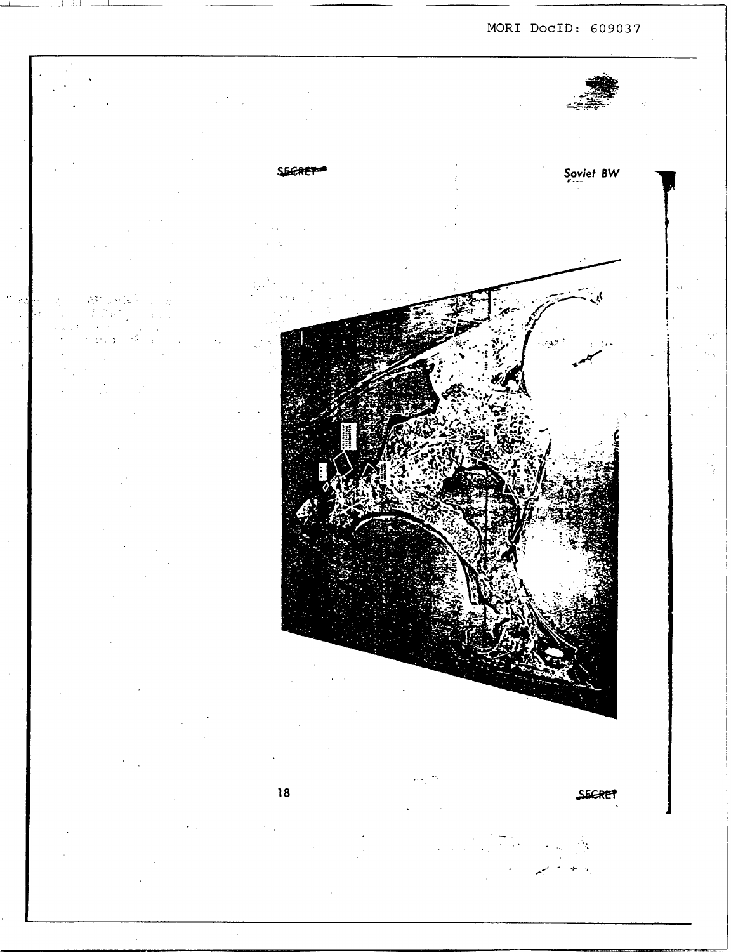MORI DocID: 609037



<span id="page-6-0"></span>

 $\mathcal{N}^2$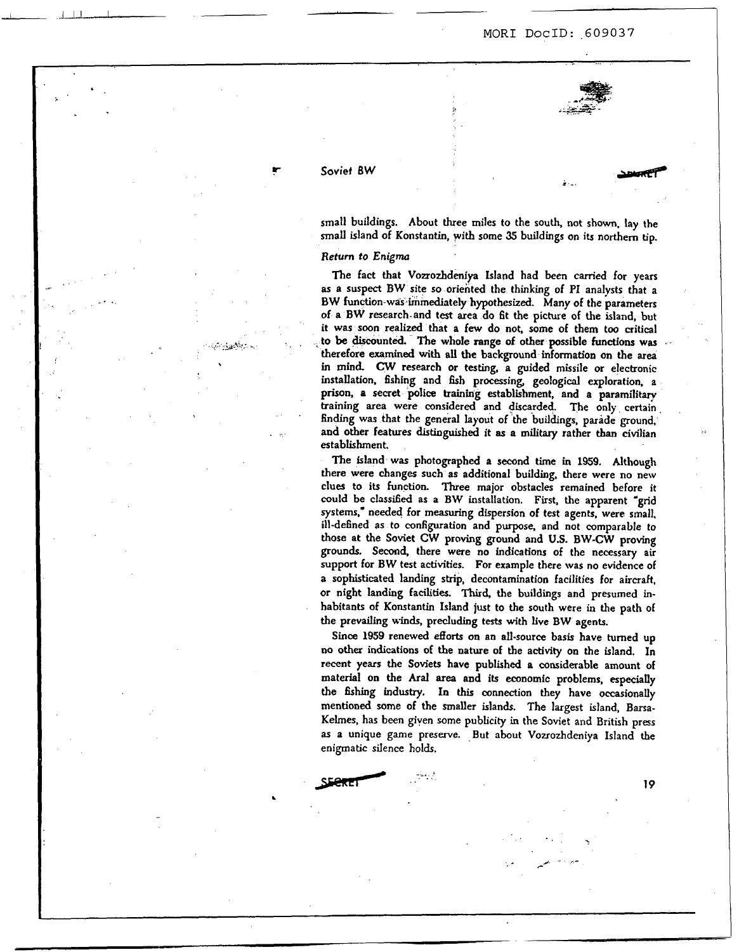### **P-** *Soviet* **BW**

1 \_J 1.1 I

..

**..e** .

small buildings. About three miles to the south, not shown, lay the small island of Konstantin, with some **35** buildings on its northern **tip.** 

### **Return** *to Enigma*

The fact that Vozrozhdeniya Island had been carried for years **as** a suspect BW site **so** oriented the thinking of PI analysts that a **BW** function-was immediately hypothesized. Many of the parameters of a **BW** research.and test area do fit **the** picture of the island, but it was soon realized that a few do not, some of them too critical **to be** discounted. The whole range of other possible **functions was**  therefore **examined with all the** background information on the **area**  in mind. **CW** research or testing, a guided missile or electronic installation, fishing and fish processing, geological exploration, a prison, **a secret** police **training** establishment, and a paramilitary training area were considered and discarded. The only certain finding was that the general layout of the buildings, parade ground, and other features distinguished it **as a military** rather **than** civilian establishment.

The island was photographed **a** second time in 1959. Although there were changes such **as** additional building. there were no new clues *to* its function. Three major obstacles remained before it could be classified as a BW installation. First, the apparent "grid systems.' needed for **measuring** dispersion of test agents, were small, ill-defined as to configuration and purpose. and not comparable to those *at* the Soviet **CW** proving ground and **U.S. BW-CW** proving **grounds.** Second, there were **no** indications of the necessary air support for **BW** test activities. For example there was no evidence of **a** sophisticated landing strip, decontamination facilities for aircraft, **or** night landing **facilities.** Third, **the** buildings and presumed inhabitants of Konstantin Island **just** to the south were in the path of the prevailing **winds,** precluding tests with live **BW agents.** 

**Since** *1959* renewed efforts **on** an all-source basis have turned up no **other** indications of the nature of the activily **on** the island. In recent years the Soviets have published **a** considerable amount of material on the *Aral* **area** and its economic problems, **especially**  the **hhing** industry. **In** this connection they have occasionally mentioned **some** of the smaller islands. The largest island, Barsa-Kelmes, has been given some publicity in the Soviet and British press **as** a unique game preserve. But about Vozrozhdeniya Island the enigmatic siIence holds.

*19*